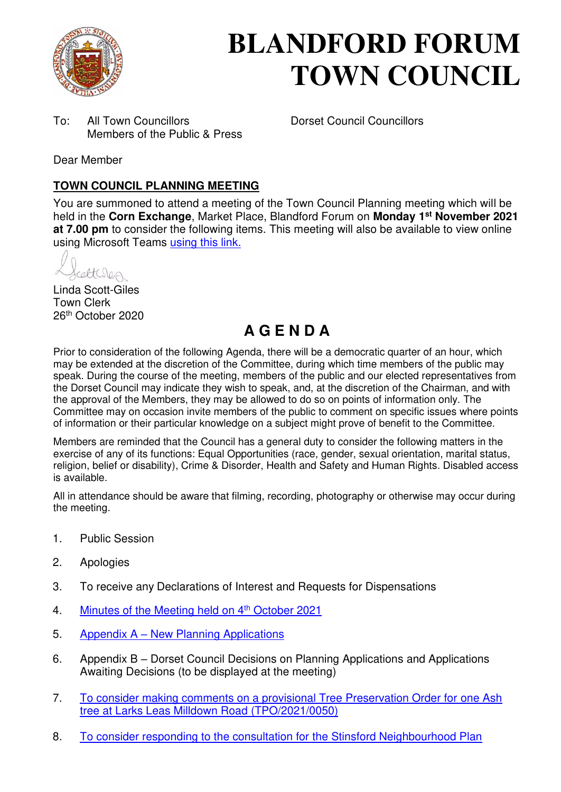

# **BLANDFORD FORUM TOWN COUNCIL**

To: All Town Councillors Dorset Council Councillors Members of the Public & Press

Dear Member

## **TOWN COUNCIL PLANNING MEETING**

You are summoned to attend a meeting of the Town Council Planning meeting which will be held in the **Corn Exchange**, Market Place, Blandford Forum on **Monday 1st November 2021 at 7.00 pm** to consider the following items. This meeting will also be available to view online using Microsoft Teams [using this link.](https://teams.microsoft.com/l/meetup-join/19%3a2cb1b1f9de074efdad40308940ab9ba0%40thread.tacv2/1627294657684?context=%7b%22Tid%22%3a%223cd8f2fb-4c45-4162-86f1-fb87b5f6a138%22%2c%22Oid%22%3a%2265e5950c-ab1c-41cc-9090-4a755c733f54%22%7d)

cetteres

Linda Scott-Giles Town Clerk 26th October 2020

## **A G E N D A**

Prior to consideration of the following Agenda, there will be a democratic quarter of an hour, which may be extended at the discretion of the Committee, during which time members of the public may speak. During the course of the meeting, members of the public and our elected representatives from the Dorset Council may indicate they wish to speak, and, at the discretion of the Chairman, and with the approval of the Members, they may be allowed to do so on points of information only. The Committee may on occasion invite members of the public to comment on specific issues where points of information or their particular knowledge on a subject might prove of benefit to the Committee.

Members are reminded that the Council has a general duty to consider the following matters in the exercise of any of its functions: Equal Opportunities (race, gender, sexual orientation, marital status, religion, belief or disability), Crime & Disorder, Health and Safety and Human Rights. Disabled access is available.

All in attendance should be aware that filming, recording, photography or otherwise may occur during the meeting.

- 1. Public Session
- 2. Apologies
- 3. To receive any Declarations of Interest and Requests for Dispensations
- 4. [Minutes of the Meeting held on 4](https://blandfordforum-tc.gov.uk/wp-content/uploads/2021/10/041021.pdf)<sup>th</sup> October 2021
- 5. Appendix A – [New Planning Applications](#page-2-0)
- 6. Appendix B Dorset Council Decisions on Planning Applications and Applications Awaiting Decisions (to be displayed at the meeting)
- 7. [To consider making comments on a provisional Tree Preservation Order for one Ash](#page-5-0)  [tree at Larks Leas Milldown Road \(TPO/2021/0050\)](#page-5-0)
- 8. [To consider responding to the consultation for the Stinsford Neighbourhood Plan](https://www.dorsetcouncil.gov.uk/stinsford-neighbourhood-plan)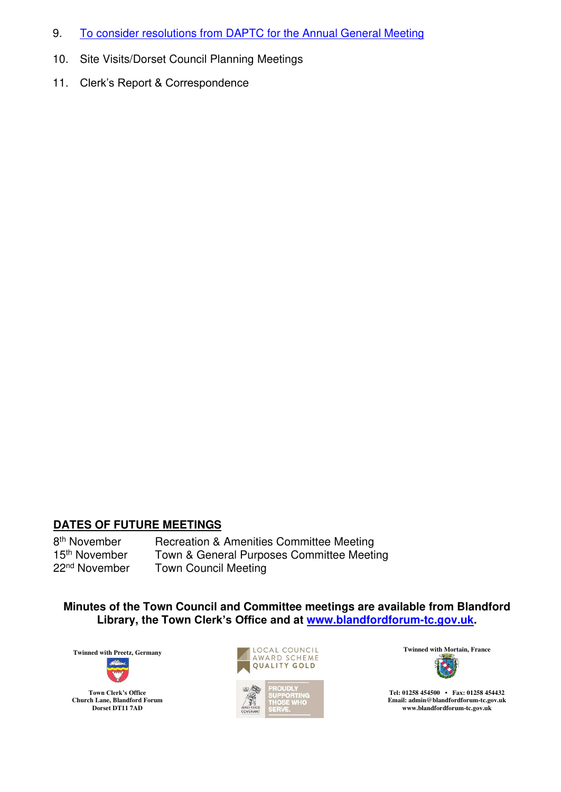- 9. [To consider resolutions from DAPTC for the Annual General Meeting](https://www.dorset-aptc.gov.uk/DAPTC_AGM_36520.aspx)
- 10. Site Visits/Dorset Council Planning Meetings
- 11. Clerk's Report & Correspondence

#### **DATES OF FUTURE MEETINGS**

8<sup>th</sup> November<br>15<sup>th</sup> November Recreation & Amenities Committee Meeting 15<sup>th</sup> November Town & General Purposes Committee Meeting<br>22<sup>nd</sup> November Town Council Meeting **Town Council Meeting** 

**Minutes of the Town Council and Committee meetings are available from Blandford Library, the Town Clerk's Office and at [www.blandfordforum-tc.gov.uk.](http://www.blandfordforum-tc.gov.uk/)** 







**Tel: 01258 454500 • Fax: 01258 454432 Email: admin@blandfordforum-tc.gov.uk [www.blandfordforum-tc.gov.uk](http://www.blandfordforum-tc.gov.uk/)**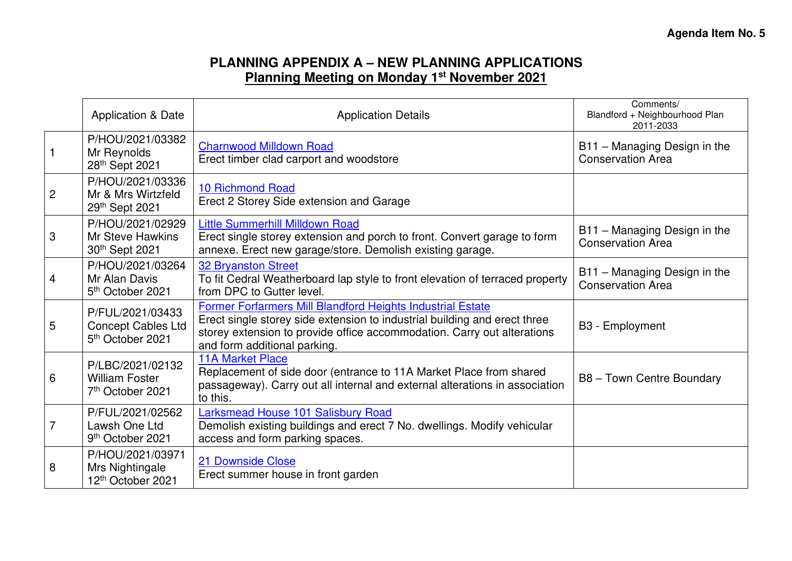## **PLANNING APPENDIX A – NEW PLANNING APPLICATIONS Planning Meeting on Monday 1st November 2021**

<span id="page-2-0"></span>

|                | <b>Application &amp; Date</b>                                                 | <b>Application Details</b>                                                                                                                                                                                                                         | Comments/<br>Blandford + Neighbourhood Plan<br>2011-2033 |
|----------------|-------------------------------------------------------------------------------|----------------------------------------------------------------------------------------------------------------------------------------------------------------------------------------------------------------------------------------------------|----------------------------------------------------------|
|                | P/HOU/2021/03382<br>Mr Reynolds<br>28th Sept 2021                             | <b>Charnwood Milldown Road</b><br>Erect timber clad carport and woodstore                                                                                                                                                                          | B11 - Managing Design in the<br><b>Conservation Area</b> |
| $\overline{2}$ | P/HOU/2021/03336<br>Mr & Mrs Wirtzfeld<br>29th Sept 2021                      | <b>10 Richmond Road</b><br>Erect 2 Storey Side extension and Garage                                                                                                                                                                                |                                                          |
| 3              | P/HOU/2021/02929<br>Mr Steve Hawkins<br>30th Sept 2021                        | <b>Little Summerhill Milldown Road</b><br>Erect single storey extension and porch to front. Convert garage to form<br>annexe. Erect new garage/store. Demolish existing garage.                                                                    | B11 - Managing Design in the<br><b>Conservation Area</b> |
| 4              | P/HOU/2021/03264<br>Mr Alan Davis<br>5 <sup>th</sup> October 2021             | <b>32 Bryanston Street</b><br>To fit Cedral Weatherboard lap style to front elevation of terraced property<br>from DPC to Gutter level.                                                                                                            | B11 - Managing Design in the<br><b>Conservation Area</b> |
| 5              | P/FUL/2021/03433<br><b>Concept Cables Ltd</b><br>5 <sup>th</sup> October 2021 | Former Forfarmers Mill Blandford Heights Industrial Estate<br>Erect single storey side extension to industrial building and erect three<br>storey extension to provide office accommodation. Carry out alterations<br>and form additional parking. | B3 - Employment                                          |
| 6              | P/LBC/2021/02132<br><b>William Foster</b><br>7 <sup>th</sup> October 2021     | <b>11A Market Place</b><br>Replacement of side door (entrance to 11A Market Place from shared<br>passageway). Carry out all internal and external alterations in association<br>to this.                                                           | B8 - Town Centre Boundary                                |
| $\overline{7}$ | P/FUL/2021/02562<br>Lawsh One Ltd<br>9 <sup>th</sup> October 2021             | Larksmead House 101 Salisbury Road<br>Demolish existing buildings and erect 7 No. dwellings. Modify vehicular<br>access and form parking spaces.                                                                                                   |                                                          |
| 8              | P/HOU/2021/03971<br>Mrs Nightingale<br>12th October 2021                      | 21 Downside Close<br>Erect summer house in front garden                                                                                                                                                                                            |                                                          |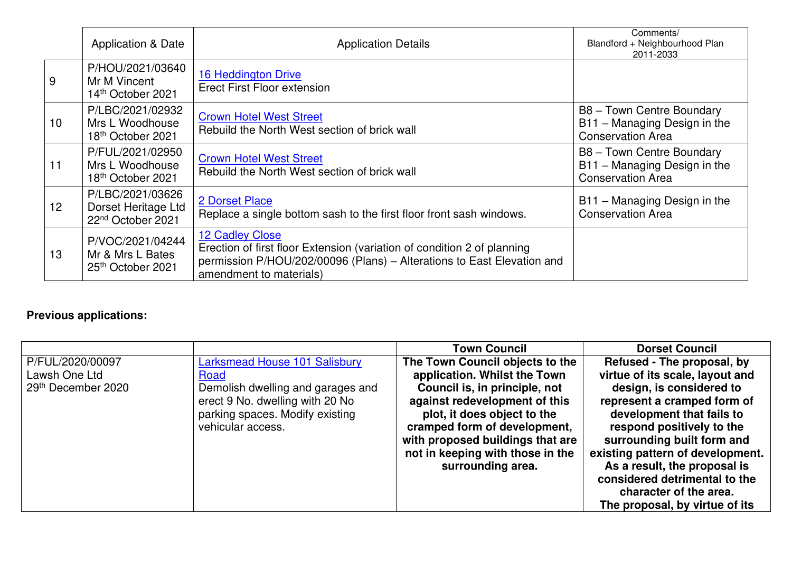|                 | <b>Application &amp; Date</b>                                            | <b>Application Details</b>                                                                                                                                                                      | Comments/<br>Blandford + Neighbourhood Plan<br>2011-2033                              |
|-----------------|--------------------------------------------------------------------------|-------------------------------------------------------------------------------------------------------------------------------------------------------------------------------------------------|---------------------------------------------------------------------------------------|
| 9               | P/HOU/2021/03640<br>Mr M Vincent<br>14th October 2021                    | 16 Heddington Drive<br><b>Erect First Floor extension</b>                                                                                                                                       |                                                                                       |
| 10 <sup>°</sup> | P/LBC/2021/02932<br>Mrs L Woodhouse<br>18th October 2021                 | <b>Crown Hotel West Street</b><br>Rebuild the North West section of brick wall                                                                                                                  | B8 - Town Centre Boundary<br>B11 - Managing Design in the<br><b>Conservation Area</b> |
| 11              | P/FUL/2021/02950<br>Mrs L Woodhouse<br>18 <sup>th</sup> October 2021     | <b>Crown Hotel West Street</b><br>Rebuild the North West section of brick wall                                                                                                                  | B8 - Town Centre Boundary<br>B11 - Managing Design in the<br><b>Conservation Area</b> |
| 12              | P/LBC/2021/03626<br>Dorset Heritage Ltd<br>22 <sup>nd</sup> October 2021 | 2 Dorset Place<br>Replace a single bottom sash to the first floor front sash windows.                                                                                                           | B11 - Managing Design in the<br><b>Conservation Area</b>                              |
| 13              | P/VOC/2021/04244<br>Mr & Mrs L Bates<br>25 <sup>th</sup> October 2021    | 12 Cadley Close<br>Erection of first floor Extension (variation of condition 2 of planning<br>permission P/HOU/202/00096 (Plans) - Alterations to East Elevation and<br>amendment to materials) |                                                                                       |

## **Previous applications:**

|                    |                                      | <b>Town Council</b>              | <b>Dorset Council</b>            |
|--------------------|--------------------------------------|----------------------------------|----------------------------------|
| P/FUL/2020/00097   | <b>Larksmead House 101 Salisbury</b> | The Town Council objects to the  | Refused - The proposal, by       |
| Lawsh One Ltd      | Road                                 | application. Whilst the Town     | virtue of its scale, layout and  |
| 29th December 2020 | Demolish dwelling and garages and    | Council is, in principle, not    | design, is considered to         |
|                    | erect 9 No. dwelling with 20 No      | against redevelopment of this    | represent a cramped form of      |
|                    | parking spaces. Modify existing      | plot, it does object to the      | development that fails to        |
|                    | vehicular access.                    | cramped form of development,     | respond positively to the        |
|                    |                                      | with proposed buildings that are | surrounding built form and       |
|                    |                                      | not in keeping with those in the | existing pattern of development. |
|                    |                                      | surrounding area.                | As a result, the proposal is     |
|                    |                                      |                                  | considered detrimental to the    |
|                    |                                      |                                  | character of the area.           |
|                    |                                      |                                  | The proposal, by virtue of its   |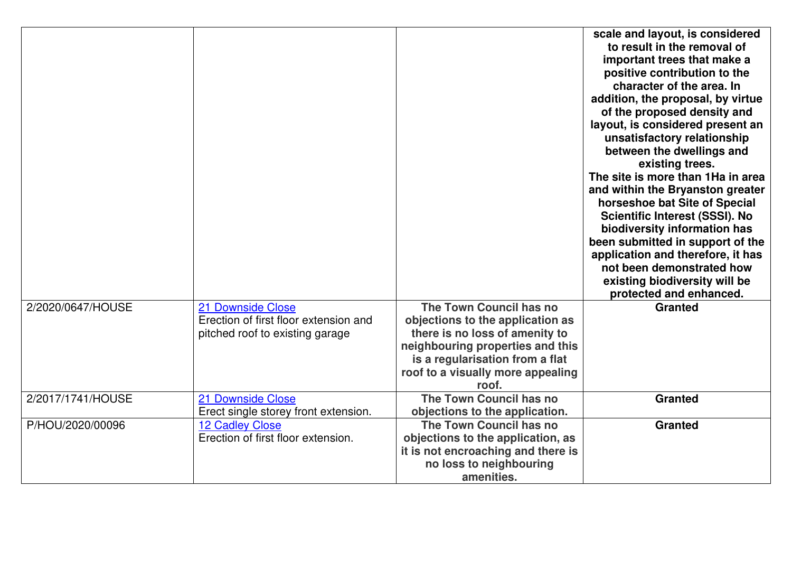|                   |                                       |                                    | scale and layout, is considered       |
|-------------------|---------------------------------------|------------------------------------|---------------------------------------|
|                   |                                       |                                    | to result in the removal of           |
|                   |                                       |                                    | important trees that make a           |
|                   |                                       |                                    | positive contribution to the          |
|                   |                                       |                                    | character of the area. In             |
|                   |                                       |                                    | addition, the proposal, by virtue     |
|                   |                                       |                                    | of the proposed density and           |
|                   |                                       |                                    | layout, is considered present an      |
|                   |                                       |                                    | unsatisfactory relationship           |
|                   |                                       |                                    | between the dwellings and             |
|                   |                                       |                                    | existing trees.                       |
|                   |                                       |                                    | The site is more than 1Ha in area     |
|                   |                                       |                                    | and within the Bryanston greater      |
|                   |                                       |                                    | horseshoe bat Site of Special         |
|                   |                                       |                                    | <b>Scientific Interest (SSSI). No</b> |
|                   |                                       |                                    | biodiversity information has          |
|                   |                                       |                                    | been submitted in support of the      |
|                   |                                       |                                    | application and therefore, it has     |
|                   |                                       |                                    | not been demonstrated how             |
|                   |                                       |                                    | existing biodiversity will be         |
|                   |                                       |                                    | protected and enhanced.               |
| 2/2020/0647/HOUSE | 21 Downside Close                     | The Town Council has no            | <b>Granted</b>                        |
|                   | Erection of first floor extension and | objections to the application as   |                                       |
|                   | pitched roof to existing garage       | there is no loss of amenity to     |                                       |
|                   |                                       | neighbouring properties and this   |                                       |
|                   |                                       | is a regularisation from a flat    |                                       |
|                   |                                       | roof to a visually more appealing  |                                       |
|                   |                                       | roof.                              |                                       |
| 2/2017/1741/HOUSE | 21 Downside Close                     | The Town Council has no            | <b>Granted</b>                        |
|                   | Erect single storey front extension.  | objections to the application.     |                                       |
| P/HOU/2020/00096  | <b>12 Cadley Close</b>                | The Town Council has no            | <b>Granted</b>                        |
|                   | Erection of first floor extension.    | objections to the application, as  |                                       |
|                   |                                       | it is not encroaching and there is |                                       |
|                   |                                       | no loss to neighbouring            |                                       |
|                   |                                       | amenities.                         |                                       |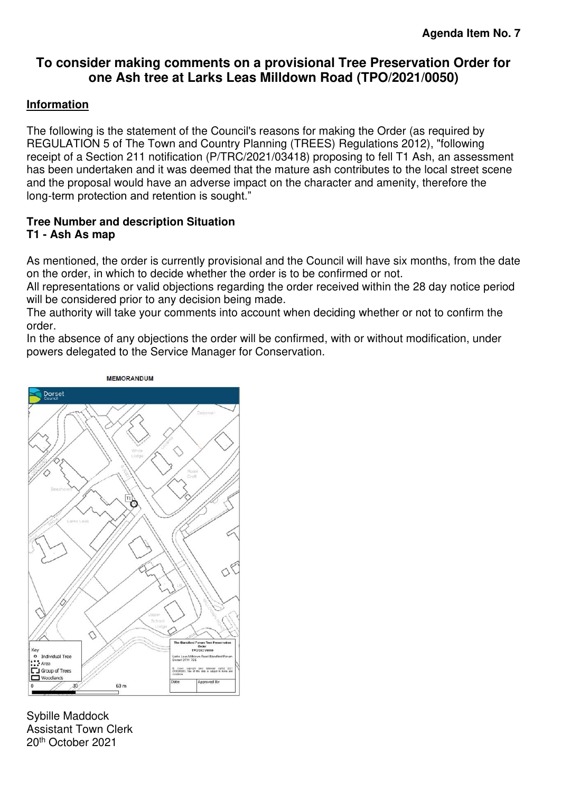## <span id="page-5-0"></span>**To consider making comments on a provisional Tree Preservation Order for one Ash tree at Larks Leas Milldown Road (TPO/2021/0050)**

#### **Information**

The following is the statement of the Council's reasons for making the Order (as required by REGULATION 5 of The Town and Country Planning (TREES) Regulations 2012), "following receipt of a Section 211 notification (P/TRC/2021/03418) proposing to fell T1 Ash, an assessment has been undertaken and it was deemed that the mature ash contributes to the local street scene and the proposal would have an adverse impact on the character and amenity, therefore the long-term protection and retention is sought."

#### **Tree Number and description Situation T1 - Ash As map**

As mentioned, the order is currently provisional and the Council will have six months, from the date on the order, in which to decide whether the order is to be confirmed or not.

All representations or valid objections regarding the order received within the 28 day notice period will be considered prior to any decision being made.

The authority will take your comments into account when deciding whether or not to confirm the order.

In the absence of any objections the order will be confirmed, with or without modification, under powers delegated to the Service Manager for Conservation.



Sybille Maddock Assistant Town Clerk 20th October 2021